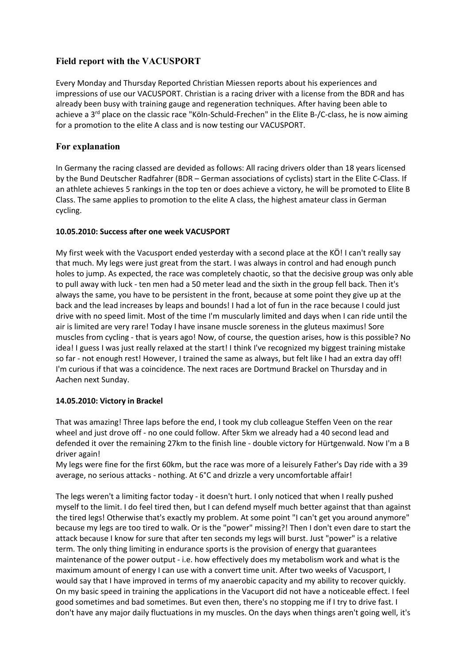# **Field report with the VACUSPORT**

Every Monday and Thursday Reported Christian Miessen reports about his experiences and impressions of use our VACUSPORT. Christian is a racing driver with a license from the BDR and has already been busy with training gauge and regeneration techniques. After having been able to achieve a  $3<sup>rd</sup>$  place on the classic race "Köln-Schuld-Frechen" in the Elite B-/C-class, he is now aiming for a promotion to the elite A class and is now testing our VACUSPORT.

## **For explanation**

In Germany the racing classed are devided as follows: All racing drivers older than 18 years licensed by the Bund Deutscher Radfahrer (BDR – German associations of cyclists) start in the Elite C-Class. If an athlete achieves 5 rankings in the top ten or does achieve a victory, he will be promoted to Elite B Class. The same applies to promotion to the elite A class, the highest amateur class in German cycling.

## **10.05.2010: Success after one week VACUSPORT**

My first week with the Vacusport ended yesterday with a second place at the KÖ! I can't really say that much. My legs were just great from the start. I was always in control and had enough punch holes to jump. As expected, the race was completely chaotic, so that the decisive group was only able to pull away with luck - ten men had a 50 meter lead and the sixth in the group fell back. Then it's always the same, you have to be persistent in the front, because at some point they give up at the back and the lead increases by leaps and bounds! I had a lot of fun in the race because I could just drive with no speed limit. Most of the time I'm muscularly limited and days when I can ride until the air is limited are very rare! Today I have insane muscle soreness in the gluteus maximus! Sore muscles from cycling - that is years ago! Now, of course, the question arises, how is this possible? No idea! I guess I was just really relaxed at the start! I think I've recognized my biggest training mistake so far - not enough rest! However, I trained the same as always, but felt like I had an extra day off! I'm curious if that was a coincidence. The next races are Dortmund Brackel on Thursday and in Aachen next Sunday.

#### **14.05.2010: Victory in Brackel**

That was amazing! Three laps before the end, I took my club colleague Steffen Veen on the rear wheel and just drove off - no one could follow. After 5km we already had a 40 second lead and defended it over the remaining 27km to the finish line - double victory for Hürtgenwald. Now I'm a B driver again!

My legs were fine for the first 60km, but the race was more of a leisurely Father's Day ride with a 39 average, no serious attacks - nothing. At 6°C and drizzle a very uncomfortable affair!

The legs weren't a limiting factor today - it doesn't hurt. I only noticed that when I really pushed myself to the limit. I do feel tired then, but I can defend myself much better against that than against the tired legs! Otherwise that's exactly my problem. At some point "I can't get you around anymore" because my legs are too tired to walk. Or is the "power" missing?! Then I don't even dare to start the attack because I know for sure that after ten seconds my legs will burst. Just "power" is a relative term. The only thing limiting in endurance sports is the provision of energy that guarantees maintenance of the power output - i.e. how effectively does my metabolism work and what is the maximum amount of energy I can use with a convert time unit. After two weeks of Vacusport, I would say that I have improved in terms of my anaerobic capacity and my ability to recover quickly. On my basic speed in training the applications in the Vacuport did not have a noticeable effect. I feel good sometimes and bad sometimes. But even then, there's no stopping me if I try to drive fast. I don't have any major daily fluctuations in my muscles. On the days when things aren't going well, it's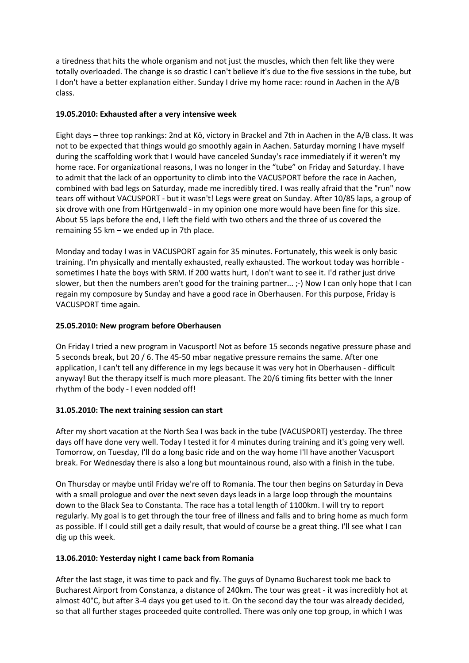a tiredness that hits the whole organism and not just the muscles, which then felt like they were totally overloaded. The change is so drastic I can't believe it's due to the five sessions in the tube, but I don't have a better explanation either. Sunday I drive my home race: round in Aachen in the A/B class.

### **19.05.2010: Exhausted after a very intensive week**

Eight days – three top rankings: 2nd at Kö, victory in Brackel and 7th in Aachen in the A/B class. It was not to be expected that things would go smoothly again in Aachen. Saturday morning I have myself during the scaffolding work that I would have canceled Sunday's race immediately if it weren't my home race. For organizational reasons, I was no longer in the "tube" on Friday and Saturday. I have to admit that the lack of an opportunity to climb into the VACUSPORT before the race in Aachen, combined with bad legs on Saturday, made me incredibly tired. I was really afraid that the "run" now tears off without VACUSPORT - but it wasn't! Legs were great on Sunday. After 10/85 laps, a group of six drove with one from Hürtgenwald - in my opinion one more would have been fine for this size. About 55 laps before the end, I left the field with two others and the three of us covered the remaining 55 km – we ended up in 7th place.

Monday and today I was in VACUSPORT again for 35 minutes. Fortunately, this week is only basic training. I'm physically and mentally exhausted, really exhausted. The workout today was horrible sometimes I hate the boys with SRM. If 200 watts hurt, I don't want to see it. I'd rather just drive slower, but then the numbers aren't good for the training partner... ;-) Now I can only hope that I can regain my composure by Sunday and have a good race in Oberhausen. For this purpose, Friday is VACUSPORT time again.

### **25.05.2010: New program before Oberhausen**

On Friday I tried a new program in Vacusport! Not as before 15 seconds negative pressure phase and 5 seconds break, but 20 / 6. The 45-50 mbar negative pressure remains the same. After one application, I can't tell any difference in my legs because it was very hot in Oberhausen - difficult anyway! But the therapy itself is much more pleasant. The 20/6 timing fits better with the Inner rhythm of the body - I even nodded off!

#### **31.05.2010: The next training session can start**

After my short vacation at the North Sea I was back in the tube (VACUSPORT) yesterday. The three days off have done very well. Today I tested it for 4 minutes during training and it's going very well. Tomorrow, on Tuesday, I'll do a long basic ride and on the way home I'll have another Vacusport break. For Wednesday there is also a long but mountainous round, also with a finish in the tube.

On Thursday or maybe until Friday we're off to Romania. The tour then begins on Saturday in Deva with a small prologue and over the next seven days leads in a large loop through the mountains down to the Black Sea to Constanta. The race has a total length of 1100km. I will try to report regularly. My goal is to get through the tour free of illness and falls and to bring home as much form as possible. If I could still get a daily result, that would of course be a great thing. I'll see what I can dig up this week.

#### **13.06.2010: Yesterday night I came back from Romania**

After the last stage, it was time to pack and fly. The guys of Dynamo Bucharest took me back to Bucharest Airport from Constanza, a distance of 240km. The tour was great - it was incredibly hot at almost 40°C, but after 3-4 days you get used to it. On the second day the tour was already decided, so that all further stages proceeded quite controlled. There was only one top group, in which I was